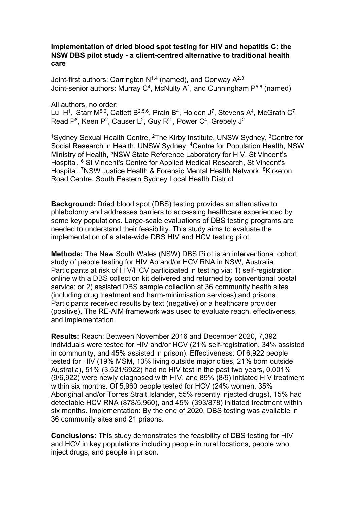## **Implementation of dried blood spot testing for HIV and hepatitis C: the NSW DBS pilot study - a client-centred alternative to traditional health care**

Joint-first authors: Carrington  $N^{1,4}$  (named), and Conway  $A^{2,3}$ Joint-senior authors: Murray  $C^4$ , McNulty A<sup>1</sup>, and Cunningham  $P^{5,6}$  (named)

All authors, no order: Lu H<sup>1</sup>, Starr M<sup>5,6</sup>, Catlett B<sup>2,5,6</sup>, Prain B<sup>4</sup>, Holden J<sup>7</sup>, Stevens A<sup>4</sup>, McGrath C<sup>7</sup>, Read  $P^8$ , Keen  $P^2$ , Causer L<sup>2</sup>, Guy R<sup>2</sup>, Power C<sup>4</sup>, Grebely J<sup>2</sup>

<sup>1</sup>Sydney Sexual Health Centre, <sup>2</sup>The Kirby Institute, UNSW Sydney, <sup>3</sup>Centre for Social Research in Health, UNSW Sydney, 4Centre for Population Health, NSW Ministry of Health, <sup>5</sup>NSW State Reference Laboratory for HIV, St Vincent's Hospital, <sup>6</sup> St Vincent's Centre for Applied Medical Research, St Vincent's Hospital, <sup>7</sup>NSW Justice Health & Forensic Mental Health Network, <sup>8</sup>Kirketon Road Centre, South Eastern Sydney Local Health District

**Background:** Dried blood spot (DBS) testing provides an alternative to phlebotomy and addresses barriers to accessing healthcare experienced by some key populations. Large-scale evaluations of DBS testing programs are needed to understand their feasibility. This study aims to evaluate the implementation of a state-wide DBS HIV and HCV testing pilot.

**Methods:** The New South Wales (NSW) DBS Pilot is an interventional cohort study of people testing for HIV Ab and/or HCV RNA in NSW, Australia. Participants at risk of HIV/HCV participated in testing via: 1) self-registration online with a DBS collection kit delivered and returned by conventional postal service; or 2) assisted DBS sample collection at 36 community health sites (including drug treatment and harm-minimisation services) and prisons. Participants received results by text (negative) or a healthcare provider (positive). The RE-AIM framework was used to evaluate reach, effectiveness, and implementation.

**Results:** Reach: Between November 2016 and December 2020, 7,392 individuals were tested for HIV and/or HCV (21% self-registration, 34% assisted in community, and 45% assisted in prison). Effectiveness: Of 6,922 people tested for HIV (19% MSM, 13% living outside major cities, 21% born outside Australia), 51% (3,521/6922) had no HIV test in the past two years, 0.001% (9/6,922) were newly diagnosed with HIV, and 89% (8/9) initiated HIV treatment within six months. Of 5,960 people tested for HCV (24% women, 35% Aboriginal and/or Torres Strait Islander, 55% recently injected drugs), 15% had detectable HCV RNA (878/5,960), and 45% (393/878) initiated treatment within six months. Implementation: By the end of 2020, DBS testing was available in 36 community sites and 21 prisons.

**Conclusions:** This study demonstrates the feasibility of DBS testing for HIV and HCV in key populations including people in rural locations, people who inject drugs, and people in prison.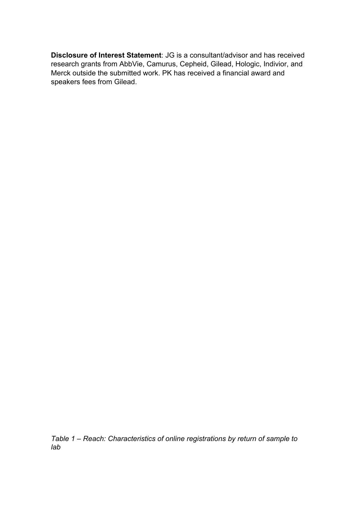**Disclosure of Interest Statement**: JG is a consultant/advisor and has received research grants from AbbVie, Camurus, Cepheid, Gilead, Hologic, Indivior, and Merck outside the submitted work. PK has received a financial award and speakers fees from Gilead.

*Table 1 – Reach: Characteristics of online registrations by return of sample to lab*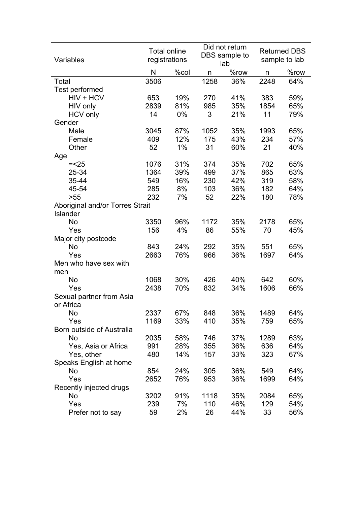| Variables                       | <b>Total online</b><br>registrations |      |      | Did not return<br>DBS sample to<br>lab | <b>Returned DBS</b><br>sample to lab |      |
|---------------------------------|--------------------------------------|------|------|----------------------------------------|--------------------------------------|------|
|                                 | N                                    | %col | n    | %row                                   | n                                    | %row |
| Total                           | 3506                                 |      | 1258 | 36%                                    | 2248                                 | 64%  |
| Test performed                  |                                      |      |      |                                        |                                      |      |
| HIV + HCV                       | 653                                  | 19%  | 270  | 41%                                    | 383                                  | 59%  |
| HIV only                        | 2839                                 | 81%  | 985  | 35%                                    | 1854                                 | 65%  |
| <b>HCV</b> only                 | 14                                   | 0%   | 3    | 21%                                    | 11                                   | 79%  |
| Gender                          |                                      |      |      |                                        |                                      |      |
| Male                            | 3045                                 | 87%  | 1052 | 35%                                    | 1993                                 | 65%  |
| Female                          | 409                                  | 12%  | 175  | 43%                                    | 234                                  | 57%  |
| Other                           | 52                                   | 1%   | 31   | 60%                                    | 21                                   | 40%  |
| Age                             |                                      |      |      |                                        |                                      |      |
| $=<25$                          | 1076                                 | 31%  | 374  | 35%                                    | 702                                  | 65%  |
| 25-34                           | 1364                                 | 39%  | 499  | 37%                                    | 865                                  | 63%  |
| 35-44                           | 549                                  | 16%  | 230  | 42%                                    | 319                                  | 58%  |
| 45-54                           | 285                                  | 8%   | 103  | 36%                                    | 182                                  | 64%  |
| >55                             | 232                                  | 7%   | 52   | 22%                                    | 180                                  | 78%  |
| Aboriginal and/or Torres Strait |                                      |      |      |                                        |                                      |      |
| Islander                        |                                      |      |      |                                        |                                      |      |
| <b>No</b>                       | 3350                                 | 96%  | 1172 | 35%                                    | 2178                                 | 65%  |
| Yes                             | 156                                  | 4%   | 86   | 55%                                    | 70                                   | 45%  |
| Major city postcode             |                                      |      |      |                                        |                                      |      |
| No                              | 843                                  | 24%  | 292  | 35%                                    | 551                                  | 65%  |
| Yes                             | 2663                                 | 76%  | 966  | 36%                                    | 1697                                 | 64%  |
| Men who have sex with           |                                      |      |      |                                        |                                      |      |
| men                             |                                      |      |      |                                        |                                      |      |
| <b>No</b>                       | 1068                                 | 30%  | 426  | 40%                                    | 642                                  | 60%  |
| Yes                             | 2438                                 | 70%  | 832  | 34%                                    | 1606                                 | 66%  |
| Sexual partner from Asia        |                                      |      |      |                                        |                                      |      |
| or Africa                       |                                      |      |      |                                        |                                      |      |
| No                              | 2337                                 | 67%  | 848  | 36%                                    | 1489                                 | 64%  |
| Yes                             | 1169                                 | 33%  | 410  | 35%                                    | 759                                  | 65%  |
| Born outside of Australia       |                                      |      |      |                                        |                                      |      |
| No                              | 2035                                 | 58%  | 746  | 37%                                    | 1289                                 | 63%  |
| Yes, Asia or Africa             | 991                                  | 28%  | 355  | 36%                                    | 636                                  | 64%  |
| Yes, other                      | 480                                  | 14%  | 157  | 33%                                    | 323                                  | 67%  |
| Speaks English at home          |                                      |      |      |                                        |                                      |      |
| No                              | 854                                  | 24%  | 305  | 36%                                    | 549                                  | 64%  |
| Yes                             | 2652                                 | 76%  | 953  | 36%                                    | 1699                                 | 64%  |
| Recently injected drugs         |                                      |      |      |                                        |                                      |      |
| No                              | 3202                                 | 91%  | 1118 | 35%                                    | 2084                                 | 65%  |
| Yes                             | 239                                  | 7%   | 110  | 46%                                    | 129                                  | 54%  |
| Prefer not to say               | 59                                   | 2%   | 26   | 44%                                    | 33                                   | 56%  |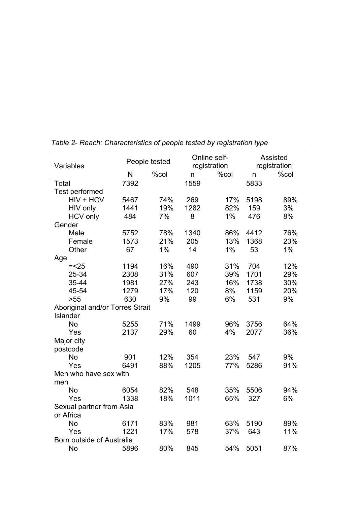|                                 | People tested |       |      | Online self- | Assisted     |              |
|---------------------------------|---------------|-------|------|--------------|--------------|--------------|
| Variables                       |               |       |      | registration |              | registration |
|                                 | N             | %col  | n    | %col         | $\mathsf{n}$ | %col         |
| Total                           | 7392          |       | 1559 |              | 5833         |              |
| Test performed                  |               |       |      |              |              |              |
| HIV + HCV                       | 5467          | 74%   | 269  | 17%          | 5198         | 89%          |
| HIV only                        | 1441          | 19%   | 1282 | 82%          | 159          | 3%           |
| <b>HCV</b> only                 | 484           | 7%    | 8    | 1%           | 476          | 8%           |
| Gender                          |               |       |      |              |              |              |
| Male                            | 5752          | 78%   | 1340 | 86%          | 4412         | 76%          |
| Female                          | 1573          | 21%   | 205  | 13%          | 1368         | 23%          |
| Other                           | 67            | $1\%$ | 14   | $1\%$        | 53           | $1\%$        |
| Age                             |               |       |      |              |              |              |
| $=<25$                          | 1194          | 16%   | 490  | 31%          | 704          | 12%          |
| 25-34                           | 2308          | 31%   | 607  | 39%          | 1701         | 29%          |
| 35-44                           | 1981          | 27%   | 243  | 16%          | 1738         | 30%          |
| 45-54                           | 1279          | 17%   | 120  | 8%           | 1159         | 20%          |
| >55                             | 630           | 9%    | 99   | 6%           | 531          | 9%           |
| Aboriginal and/or Torres Strait |               |       |      |              |              |              |
| Islander                        |               |       |      |              |              |              |
| <b>No</b>                       | 5255          | 71%   | 1499 | 96%          | 3756         | 64%          |
| Yes                             | 2137          | 29%   | 60   | 4%           | 2077         | 36%          |
| Major city                      |               |       |      |              |              |              |
| postcode                        |               |       |      |              |              |              |
| <b>No</b>                       | 901           | 12%   | 354  | 23%          | 547          | 9%           |
| Yes                             | 6491          | 88%   | 1205 | 77%          | 5286         | 91%          |
| Men who have sex with           |               |       |      |              |              |              |
| men                             |               |       |      |              |              |              |
| <b>No</b>                       | 6054          | 82%   | 548  | 35%          | 5506         | 94%          |
| Yes                             | 1338          | 18%   | 1011 | 65%          | 327          | 6%           |
| Sexual partner from Asia        |               |       |      |              |              |              |
| or Africa                       |               |       |      |              |              |              |
| <b>No</b>                       | 6171          | 83%   | 981  | 63%          | 5190         | 89%          |
| Yes                             | 1221          | 17%   | 578  | 37%          | 643          | 11%          |
| Born outside of Australia       |               |       |      |              |              |              |
| No                              | 5896          | 80%   | 845  | 54%          | 5051         | 87%          |

*Table 2- Reach: Characteristics of people tested by registration type*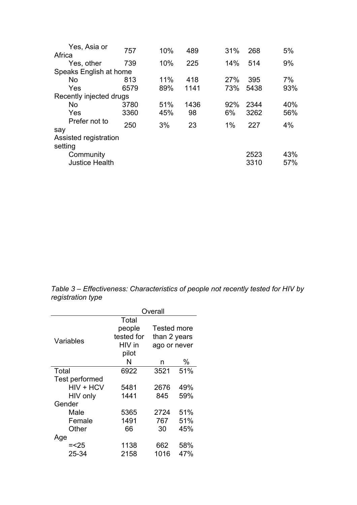|                         |            |           |            |           | 5%         |
|-------------------------|------------|-----------|------------|-----------|------------|
|                         |            |           |            |           |            |
| 739                     | 10%        | 225       | 14%        | 514       | 9%         |
| Speaks English at home  |            |           |            |           |            |
| 813                     | 11%        | 418       | <b>27%</b> | 395       | 7%         |
| 6579                    | 89%        | 1141      | 73%        | 5438      | 93%        |
| Recently injected drugs |            |           |            |           |            |
| 3780                    | 51%        | 1436      | 92%        | 2344      | 40%        |
| 3360                    | 45%        | 98        | 6%         | 3262      | 56%        |
|                         |            |           |            |           | 4%         |
|                         |            |           |            |           |            |
| Assisted registration   |            |           |            |           |            |
|                         |            |           |            |           |            |
|                         |            |           |            | 2523      | 43%        |
| <b>Justice Health</b>   |            |           |            | 3310      | 57%        |
|                         | 757<br>250 | 10%<br>3% | 489<br>23  | 31%<br>1% | 268<br>227 |

*Table 3 – Effectiveness: Characteristics of people not recently tested for HIV by registration type*

|                | Overall    |              |                    |  |  |  |
|----------------|------------|--------------|--------------------|--|--|--|
|                | Total      |              |                    |  |  |  |
|                | people     |              | <b>Tested more</b> |  |  |  |
| Variables      | tested for |              | than 2 years       |  |  |  |
|                | HIV in     | ago or never |                    |  |  |  |
|                | pilot      |              |                    |  |  |  |
|                | N          | n            | %                  |  |  |  |
| Total          | 6922       | 3521         | 51%                |  |  |  |
| Test performed |            |              |                    |  |  |  |
| $HIV + HCV$    | 5481       | 2676         | 49%                |  |  |  |
| HIV only       | 1441       | 845          | 59%                |  |  |  |
| Gender         |            |              |                    |  |  |  |
| Male           | 5365       | 2724         | 51%                |  |  |  |
| Female         | 1491       | 767          | 51%                |  |  |  |
| Other          | 66         | 30           | 45%                |  |  |  |
| Age            |            |              |                    |  |  |  |
| $=<25$         | 1138       | 662          | 58%                |  |  |  |
| 25-34          | 2158       | 1016         | 47%                |  |  |  |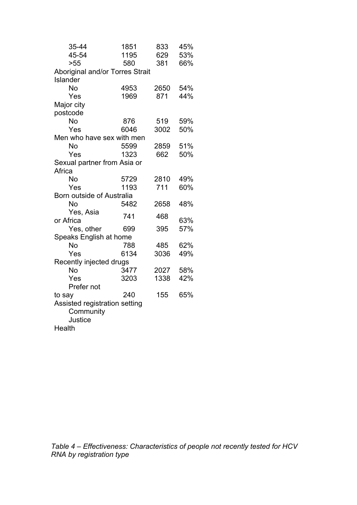| 35-44                           | 1851 | 833  | 45% |  |  |  |  |  |
|---------------------------------|------|------|-----|--|--|--|--|--|
| 45-54                           | 1195 | 629  | 53% |  |  |  |  |  |
| >55                             | 580  | 381  | 66% |  |  |  |  |  |
| Aboriginal and/or Torres Strait |      |      |     |  |  |  |  |  |
| Islander                        |      |      |     |  |  |  |  |  |
| No                              | 4953 | 2650 | 54% |  |  |  |  |  |
| Yes                             | 1969 | 871  | 44% |  |  |  |  |  |
| Major city                      |      |      |     |  |  |  |  |  |
| postcode                        |      |      |     |  |  |  |  |  |
| No                              | 876  | 519  | 59% |  |  |  |  |  |
| Yes                             | 6046 | 3002 | 50% |  |  |  |  |  |
| Men who have sex with men       |      |      |     |  |  |  |  |  |
| No                              | 5599 | 2859 | 51% |  |  |  |  |  |
| Yes                             | 1323 | 662  | 50% |  |  |  |  |  |
| Sexual partner from Asia or     |      |      |     |  |  |  |  |  |
| Africa                          |      |      |     |  |  |  |  |  |
| No                              | 5729 | 2810 | 49% |  |  |  |  |  |
| Yes                             | 1193 | 711  | 60% |  |  |  |  |  |
| Born outside of Australia       |      |      |     |  |  |  |  |  |
| No                              | 5482 | 2658 | 48% |  |  |  |  |  |
| Yes, Asia                       | 741  | 468  |     |  |  |  |  |  |
| or Africa                       |      |      | 63% |  |  |  |  |  |
| Yes, other                      | 699  | 395  | 57% |  |  |  |  |  |
| Speaks English at home          |      |      |     |  |  |  |  |  |
| No                              | 788  | 485  | 62% |  |  |  |  |  |
| Yes                             | 6134 | 3036 | 49% |  |  |  |  |  |
| Recently injected drugs         |      |      |     |  |  |  |  |  |
| No                              | 3477 | 2027 | 58% |  |  |  |  |  |
| Yes                             | 3203 | 1338 | 42% |  |  |  |  |  |
| Prefer not                      |      |      |     |  |  |  |  |  |
| to say                          | 240  | 155  | 65% |  |  |  |  |  |
| Assisted registration setting   |      |      |     |  |  |  |  |  |
| Community                       |      |      |     |  |  |  |  |  |
| Justice                         |      |      |     |  |  |  |  |  |
| Health                          |      |      |     |  |  |  |  |  |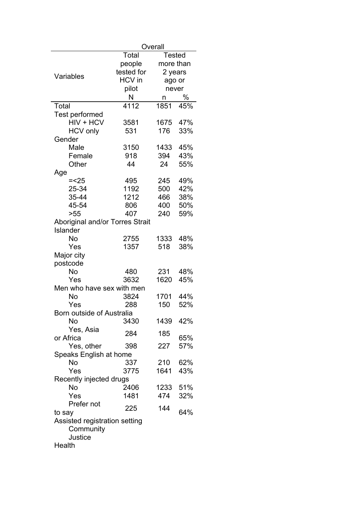|                                 | Overall       |           |     |  |  |  |
|---------------------------------|---------------|-----------|-----|--|--|--|
|                                 | Total         | Tested    |     |  |  |  |
|                                 | people        | more than |     |  |  |  |
|                                 | tested for    | 2 years   |     |  |  |  |
| Variables                       | <b>HCV</b> in | ago or    |     |  |  |  |
|                                 | pilot         | never     |     |  |  |  |
|                                 | N             | n         | %   |  |  |  |
| Total                           | 4112          | 1851      | 45% |  |  |  |
| Test performed                  |               |           |     |  |  |  |
| HIV + HCV                       | 3581          | 1675      | 47% |  |  |  |
| <b>HCV</b> only                 | 531           | 176       | 33% |  |  |  |
| Gender                          |               |           |     |  |  |  |
| Male                            | 3150          | 1433      | 45% |  |  |  |
| Female                          | 918           | 394       | 43% |  |  |  |
| Other                           | 44            | 24        | 55% |  |  |  |
| Age                             |               |           |     |  |  |  |
| $=<25$                          | 495           | 245       | 49% |  |  |  |
| 25-34                           | 1192          | 500       | 42% |  |  |  |
| 35-44                           | 1212          | 466       | 38% |  |  |  |
| 45-54                           | 806           | 400       | 50% |  |  |  |
| >55                             | 407           | 240       | 59% |  |  |  |
| Aboriginal and/or Torres Strait |               |           |     |  |  |  |
| Islander                        |               |           |     |  |  |  |
| No                              | 2755          | 1333      | 48% |  |  |  |
| Yes                             | 1357          | 518       | 38% |  |  |  |
| Major city                      |               |           |     |  |  |  |
| postcode                        |               |           |     |  |  |  |
| No                              | 480           | 231       | 48% |  |  |  |
| Yes                             | 3632          | 1620      | 45% |  |  |  |
| Men who have sex with men       |               |           |     |  |  |  |
| No                              | 3824          | 1701      | 44% |  |  |  |
| Yes                             | 288           | 150       | 52% |  |  |  |
| Born outside of Australia       |               |           |     |  |  |  |
| No                              | 3430          | 1439      | 42% |  |  |  |
| Yes, Asia                       | 284           | 185       |     |  |  |  |
| or Africa                       |               |           | 65% |  |  |  |
| Yes, other                      | 398           | 227       | 57% |  |  |  |
| Speaks English at home          |               |           |     |  |  |  |
| No                              | 337           | 210       | 62% |  |  |  |
| Yes                             | 3775          | 1641      | 43% |  |  |  |
| Recently injected drugs         |               |           |     |  |  |  |
| No                              | 2406          | 1233      | 51% |  |  |  |
| Yes                             | 1481          | 474       | 32% |  |  |  |
| Prefer not                      | 225           | 144       |     |  |  |  |
| to say                          |               |           | 64% |  |  |  |
| Assisted registration setting   |               |           |     |  |  |  |
| Community                       |               |           |     |  |  |  |
| Justice                         |               |           |     |  |  |  |
| Health                          |               |           |     |  |  |  |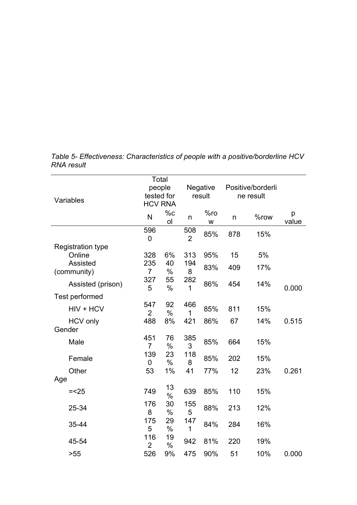|                          |                       | Total                        |                           |          |                   |           |            |
|--------------------------|-----------------------|------------------------------|---------------------------|----------|-------------------|-----------|------------|
|                          | people                |                              | <b>Negative</b><br>result |          | Positive/borderli |           |            |
| Variables                |                       | tested for<br><b>HCV RNA</b> |                           |          |                   | ne result |            |
|                          | N                     | %c<br>ol                     | n                         | %ro<br>W | n                 | %row      | p<br>value |
|                          | 596<br>$\overline{0}$ |                              | 508<br>$\overline{2}$     | 85%      | 878               | 15%       |            |
| <b>Registration type</b> |                       |                              |                           |          |                   |           |            |
| Online                   | 328                   | 6%                           | 313                       | 95%      | 15                | 5%        |            |
| Assisted<br>(community)  | 235<br>$\overline{7}$ | 40<br>$\%$                   | 194<br>8                  | 83%      | 409               | 17%       |            |
| Assisted (prison)        | 327<br>5              | 55<br>$\%$                   | 282<br>1                  | 86%      | 454               | 14%       | 0.000      |
| Test performed           |                       |                              |                           |          |                   |           |            |
| HIV + HCV                | 547<br>$\overline{2}$ | 92<br>$\%$                   | 466<br>1                  | 85%      | 811               | 15%       |            |
| <b>HCV</b> only          | 488                   | 8%                           | 421                       | 86%      | 67                | 14%       | 0.515      |
| Gender                   |                       |                              |                           |          |                   |           |            |
| Male                     | 451<br>$\overline{7}$ | 76<br>$\%$                   | 385<br>3                  | 85%      | 664               | 15%       |            |
| Female                   | 139<br>0              | 23<br>$\frac{0}{0}$          | 118<br>8                  | 85%      | 202               | 15%       |            |
| Other                    | 53                    | 1%                           | 41                        | 77%      | 12                | 23%       | 0.261      |
| Age                      |                       |                              |                           |          |                   |           |            |
| $=<25$                   | 749                   | 13<br>$\%$                   | 639                       | 85%      | 110               | 15%       |            |
| 25-34                    | 176<br>8              | 30<br>$\%$                   | 155<br>5                  | 88%      | 213               | 12%       |            |
| 35-44                    | 175<br>5              | 29<br>$\%$                   | 147<br>1                  | 84%      | 284               | 16%       |            |
| 45-54                    | 116<br>$\overline{2}$ | 19<br>$\%$                   | 942                       | 81%      | 220               | 19%       |            |
| >55                      | 526                   | 9%                           | 475                       | 90%      | 51                | 10%       | 0.000      |

*Table 5- Effectiveness: Characteristics of people with a positive/borderline HCV RNA result*